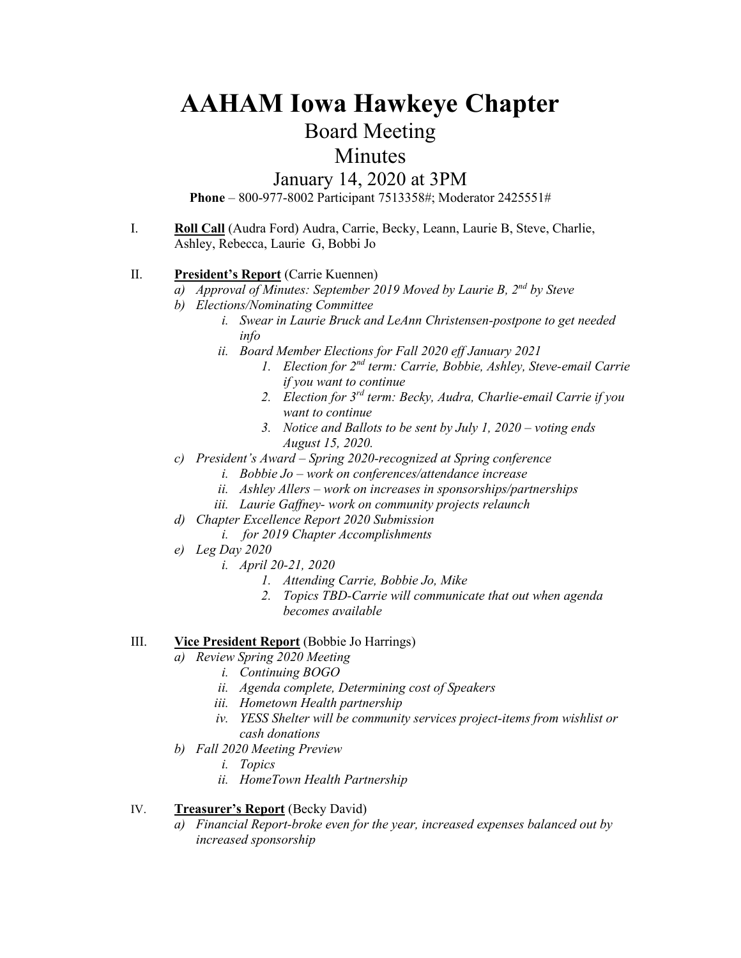# **AAHAM Iowa Hawkeye Chapter**

## Board Meeting

## Minutes

### January 14, 2020 at 3PM

**Phone** – 800-977-8002 Participant 7513358#; Moderator 2425551#

I. **Roll Call** (Audra Ford) Audra, Carrie, Becky, Leann, Laurie B, Steve, Charlie, Ashley, Rebecca, Laurie G, Bobbi Jo

#### II. **President's Report** (Carrie Kuennen)

- *a) Approval of Minutes: September 2019 Moved by Laurie B, 2nd by Steve*
- *b) Elections/Nominating Committee*
	- *i. Swear in Laurie Bruck and LeAnn Christensen-postpone to get needed info*
	- *ii. Board Member Elections for Fall 2020 eff January 2021*
		- *1. Election for 2nd term: Carrie, Bobbie, Ashley, Steve-email Carrie if you want to continue*
		- *2. Election for 3rd term: Becky, Audra, Charlie-email Carrie if you want to continue*
		- *3. Notice and Ballots to be sent by July 1, 2020 voting ends August 15, 2020.*
- *c) President's Award – Spring 2020-recognized at Spring conference*
	- *i. Bobbie Jo – work on conferences/attendance increase*
	- *ii. Ashley Allers – work on increases in sponsorships/partnerships*
	- *iii. Laurie Gaffney- work on community projects relaunch*
- *d) Chapter Excellence Report 2020 Submission*
	- *i. for 2019 Chapter Accomplishments*
- *e) Leg Day 2020*
	- *i. April 20-21, 2020*
		- *1. Attending Carrie, Bobbie Jo, Mike*
		- *2. Topics TBD-Carrie will communicate that out when agenda becomes available*

#### III. **Vice President Report** (Bobbie Jo Harrings)

- *a) Review Spring 2020 Meeting* 
	- *i. Continuing BOGO*
	- *ii. Agenda complete, Determining cost of Speakers*
	- *iii. Hometown Health partnership*
	- *iv. YESS Shelter will be community services project-items from wishlist or cash donations*
- *b) Fall 2020 Meeting Preview*
	- *i. Topics*
	- *ii. HomeTown Health Partnership*

#### IV. **Treasurer's Report** (Becky David)

*Financial Report-broke even for the year, increased expenses balanced out by increased sponsorship*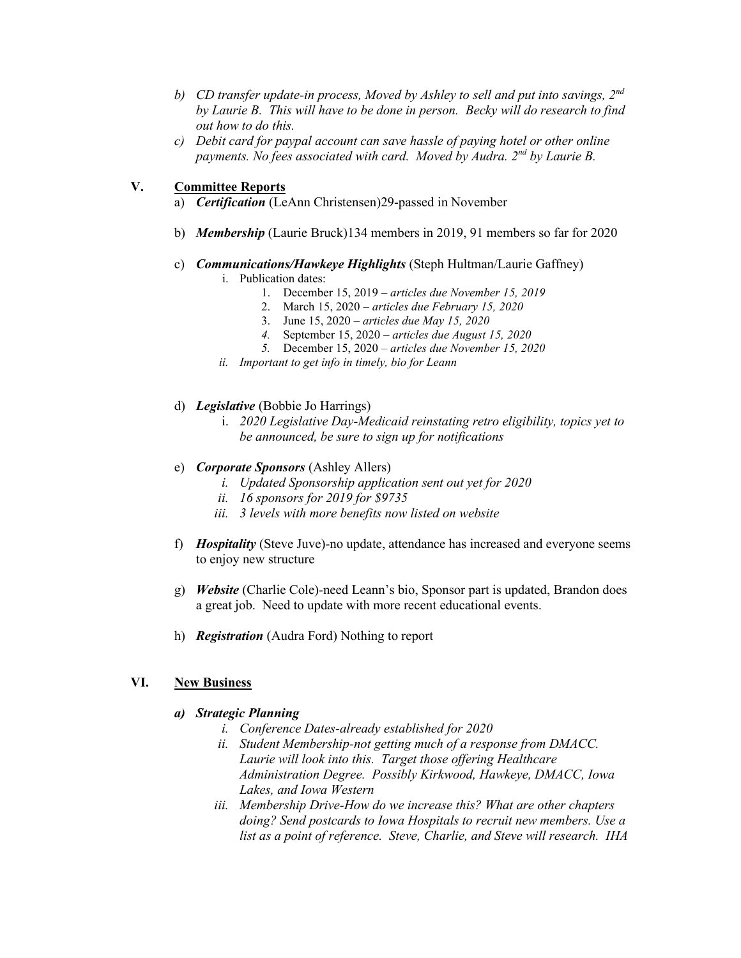- *b) CD transfer update-in process, Moved by Ashley to sell and put into savings, 2nd by Laurie B. This will have to be done in person. Becky will do research to find out how to do this.*
- *c) Debit card for paypal account can save hassle of paying hotel or other online payments. No fees associated with card. Moved by Audra. 2nd by Laurie B.*

#### **V. Committee Reports**

- a) *Certification* (LeAnn Christensen)29-passed in November
- b) *Membership* (Laurie Bruck)134 members in 2019, 91 members so far for 2020
- c) *Communications/Hawkeye Highlights* (Steph Hultman/Laurie Gaffney)
	- i. Publication dates:
		- 1. December 15, 2019 *articles due November 15, 2019*
		- 2. March 15, 2020 *articles due February 15, 2020*
		- 3. June 15, 2020 *– articles due May 15, 2020*
		- *4.* September 15, 2020 *articles due August 15, 2020*
		- *5.* December 15, 2020 *– articles due November 15, 2020*
	- *ii. Important to get info in timely, bio for Leann*
- d) *Legislative* (Bobbie Jo Harrings)
	- i. *2020 Legislative Day-Medicaid reinstating retro eligibility, topics yet to be announced, be sure to sign up for notifications*
- e) *Corporate Sponsors* (Ashley Allers)
	- *i. Updated Sponsorship application sent out yet for 2020*
	- *ii. 16 sponsors for 2019 for \$9735*
	- *iii. 3 levels with more benefits now listed on website*
- f) *Hospitality* (Steve Juve)-no update, attendance has increased and everyone seems to enjoy new structure
- g) *Website* (Charlie Cole)-need Leann's bio, Sponsor part is updated, Brandon does a great job. Need to update with more recent educational events.
- h) *Registration* (Audra Ford) Nothing to report

#### **VI. New Business**

#### *a) Strategic Planning*

- *i. Conference Dates-already established for 2020*
- *ii. Student Membership-not getting much of a response from DMACC. Laurie will look into this. Target those offering Healthcare Administration Degree. Possibly Kirkwood, Hawkeye, DMACC, Iowa Lakes, and Iowa Western*
- *iii. Membership Drive-How do we increase this? What are other chapters doing? Send postcards to Iowa Hospitals to recruit new members. Use a list as a point of reference. Steve, Charlie, and Steve will research. IHA*